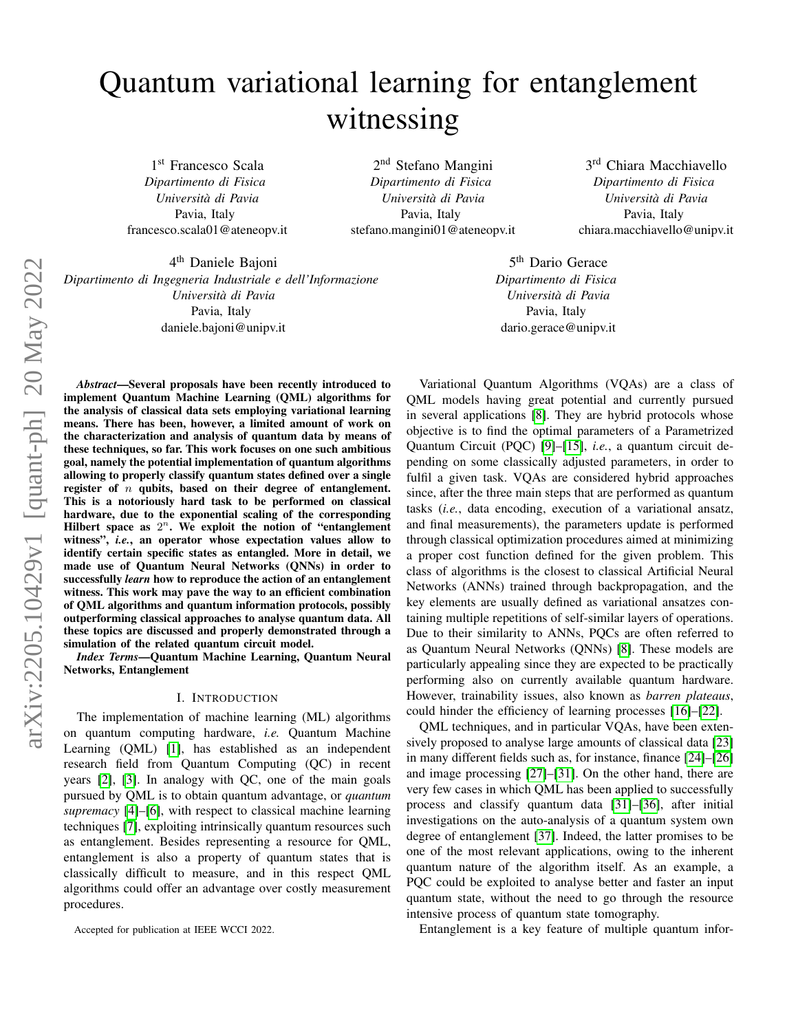# Quantum variational learning for entanglement witnessing

1st Francesco Scala *Dipartimento di Fisica Universita di Pavia `* Pavia, Italy francesco.scala01@ateneopv.it

2<sup>nd</sup> Stefano Mangini *Dipartimento di Fisica Universita di Pavia `* Pavia, Italy stefano.mangini01@ateneopv.it

3<sup>rd</sup> Chiara Macchiavello *Dipartimento di Fisica Universita di Pavia `* Pavia, Italy chiara.macchiavello@unipv.it

4 th Daniele Bajoni *Dipartimento di Ingegneria Industriale e dell'Informazione Universita di Pavia `* Pavia, Italy daniele.bajoni@unipv.it

*Abstract*—Several proposals have been recently introduced to implement Quantum Machine Learning (QML) algorithms for the analysis of classical data sets employing variational learning means. There has been, however, a limited amount of work on the characterization and analysis of quantum data by means of these techniques, so far. This work focuses on one such ambitious goal, namely the potential implementation of quantum algorithms allowing to properly classify quantum states defined over a single register of  $n$  qubits, based on their degree of entanglement. This is a notoriously hard task to be performed on classical hardware, due to the exponential scaling of the corresponding Hilbert space as  $2^n$ . We exploit the notion of "entanglement witness", *i.e.*, an operator whose expectation values allow to identify certain specific states as entangled. More in detail, we made use of Quantum Neural Networks (QNNs) in order to successfully *learn* how to reproduce the action of an entanglement witness. This work may pave the way to an efficient combination of QML algorithms and quantum information protocols, possibly outperforming classical approaches to analyse quantum data. All these topics are discussed and properly demonstrated through a simulation of the related quantum circuit model. *Index Terms*—Quantum Machine Learning, Quantum Neural

Networks, Entanglement

#### I. INTRODUCTION

The implementation of machine learning (ML) algorithms on quantum computing hardware, *i.e.* Quantum Machine Learning (QML) [\[1\]](#page-6-0), has established as an independent research field from Quantum Computing (QC) in recent years [\[2\]](#page-6-1), [\[3\]](#page-6-2). In analogy with QC, one of the main goals pursued by QML is to obtain quantum advantage, or *quantum supremacy* [\[4\]](#page-6-3)–[\[6\]](#page-6-4), with respect to classical machine learning techniques [\[7\]](#page-6-5), exploiting intrinsically quantum resources such as entanglement. Besides representing a resource for QML, entanglement is also a property of quantum states that is classically difficult to measure, and in this respect QML algorithms could offer an advantage over costly measurement procedures.

Accepted for publication at IEEE WCCI 2022.

5<sup>th</sup> Dario Gerace *Dipartimento di Fisica Universita di Pavia `* Pavia, Italy dario.gerace@unipv.it

Variational Quantum Algorithms (VQAs) are a class of QML models having great potential and currently pursued in several applications [\[8\]](#page-6-6). They are hybrid protocols whose objective is to find the optimal parameters of a Parametrized Quantum Circuit (PQC) [\[9\]](#page-6-7)–[\[15\]](#page-6-8), *i.e.*, a quantum circuit depending on some classically adjusted parameters, in order to fulfil a given task. VQAs are considered hybrid approaches since, after the three main steps that are performed as quantum tasks (*i.e.*, data encoding, execution of a variational ansatz, and final measurements), the parameters update is performed through classical optimization procedures aimed at minimizing a proper cost function defined for the given problem. This class of algorithms is the closest to classical Artificial Neural Networks (ANNs) trained through backpropagation, and the key elements are usually defined as variational ansatzes containing multiple repetitions of self-similar layers of operations. Due to their similarity to ANNs, PQCs are often referred to as Quantum Neural Networks (QNNs) [\[8\]](#page-6-6). These models are particularly appealing since they are expected to be practically performing also on currently available quantum hardware. However, trainability issues, also known as *barren plateaus*, could hinder the efficiency of learning processes [\[16\]](#page-6-9)–[\[22\]](#page-6-10).

QML techniques, and in particular VQAs, have been extensively proposed to analyse large amounts of classical data [\[23\]](#page-6-11) in many different fields such as, for instance, finance [\[24\]](#page-7-0)–[\[26\]](#page-7-1) and image processing [\[27\]](#page-7-2)–[\[31\]](#page-7-3). On the other hand, there are very few cases in which QML has been applied to successfully process and classify quantum data [\[31\]](#page-7-3)–[\[36\]](#page-7-4), after initial investigations on the auto-analysis of a quantum system own degree of entanglement [\[37\]](#page-7-5). Indeed, the latter promises to be one of the most relevant applications, owing to the inherent quantum nature of the algorithm itself. As an example, a PQC could be exploited to analyse better and faster an input quantum state, without the need to go through the resource intensive process of quantum state tomography.

Entanglement is a key feature of multiple quantum infor-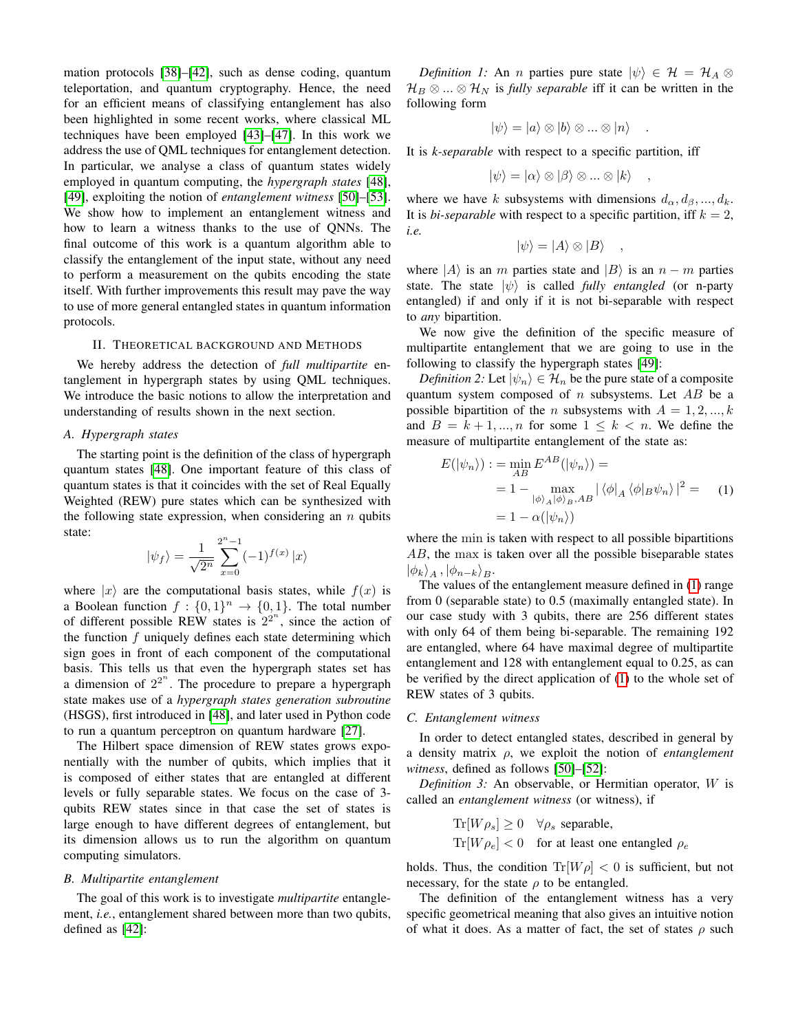mation protocols [\[38\]](#page-7-6)–[\[42\]](#page-7-7), such as dense coding, quantum teleportation, and quantum cryptography. Hence, the need for an efficient means of classifying entanglement has also been highlighted in some recent works, where classical ML techniques have been employed [\[43\]](#page-7-8)–[\[47\]](#page-7-9). In this work we address the use of QML techniques for entanglement detection. In particular, we analyse a class of quantum states widely employed in quantum computing, the *hypergraph states* [\[48\]](#page-7-10), [\[49\]](#page-7-11), exploiting the notion of *entanglement witness* [\[50\]](#page-7-12)–[\[53\]](#page-7-13). We show how to implement an entanglement witness and how to learn a witness thanks to the use of QNNs. The final outcome of this work is a quantum algorithm able to classify the entanglement of the input state, without any need to perform a measurement on the qubits encoding the state itself. With further improvements this result may pave the way to use of more general entangled states in quantum information protocols.

## II. THEORETICAL BACKGROUND AND METHODS

We hereby address the detection of *full multipartite* entanglement in hypergraph states by using QML techniques. We introduce the basic notions to allow the interpretation and understanding of results shown in the next section.

#### *A. Hypergraph states*

The starting point is the definition of the class of hypergraph quantum states [\[48\]](#page-7-10). One important feature of this class of quantum states is that it coincides with the set of Real Equally Weighted (REW) pure states which can be synthesized with the following state expression, when considering an  $n$  qubits state:

$$
|\psi_f\rangle = \frac{1}{\sqrt{2^n}} \sum_{x=0}^{2^n - 1} (-1)^{f(x)} |x\rangle
$$

where  $|x\rangle$  are the computational basis states, while  $f(x)$  is a Boolean function  $f: \{0,1\}^n \to \{0,1\}$ . The total number of different possible REW states is  $2^{2^n}$ , since the action of the function  $f$  uniquely defines each state determining which sign goes in front of each component of the computational basis. This tells us that even the hypergraph states set has a dimension of  $2^{2^n}$ . The procedure to prepare a hypergraph state makes use of a *hypergraph states generation subroutine* (HSGS), first introduced in [\[48\]](#page-7-10), and later used in Python code to run a quantum perceptron on quantum hardware [\[27\]](#page-7-2).

The Hilbert space dimension of REW states grows exponentially with the number of qubits, which implies that it is composed of either states that are entangled at different levels or fully separable states. We focus on the case of 3 qubits REW states since in that case the set of states is large enough to have different degrees of entanglement, but its dimension allows us to run the algorithm on quantum computing simulators.

#### *B. Multipartite entanglement*

The goal of this work is to investigate *multipartite* entanglement, *i.e.*, entanglement shared between more than two qubits, defined as [\[42\]](#page-7-7):

*Definition 1:* An *n* parties pure state  $|\psi\rangle \in \mathcal{H} = \mathcal{H}_A \otimes$  $\mathcal{H}_B \otimes ... \otimes \mathcal{H}_N$  is *fully separable* iff it can be written in the following form

$$
|\psi\rangle = |a\rangle \otimes |b\rangle \otimes ... \otimes |n\rangle \quad .
$$

It is *k-separable* with respect to a specific partition, iff

$$
|\psi\rangle = |\alpha\rangle \otimes |\beta\rangle \otimes ... \otimes |k\rangle \quad ,
$$

where we have k subsystems with dimensions  $d_{\alpha}, d_{\beta}, ..., d_{k}$ . It is *bi-separable* with respect to a specific partition, iff  $k = 2$ , *i.e.*

$$
|\psi\rangle = |A\rangle \otimes |B\rangle \quad ,
$$

where  $|A\rangle$  is an m parties state and  $|B\rangle$  is an  $n - m$  parties state. The state  $|\psi\rangle$  is called *fully entangled* (or n-party entangled) if and only if it is not bi-separable with respect to *any* bipartition.

We now give the definition of the specific measure of multipartite entanglement that we are going to use in the following to classify the hypergraph states [\[49\]](#page-7-11):

*Definition 2:* Let  $|\psi_n\rangle \in \mathcal{H}_n$  be the pure state of a composite quantum system composed of  $n$  subsystems. Let  $AB$  be a possible bipartition of the *n* subsystems with  $A = 1, 2, ..., k$ and  $B = k + 1, \ldots, n$  for some  $1 \leq k \leq n$ . We define the measure of multipartite entanglement of the state as:

<span id="page-1-0"></span>
$$
E(|\psi_n\rangle) := \min_{AB} E^{AB}(|\psi_n\rangle) =
$$
  
= 1 - \max\_{|\phi\rangle\_A |\phi\rangle\_B, AB} |\langle \phi|\_A \langle \phi|\_B \psi\_n \rangle|^2 = (1)  
= 1 - \alpha(|\psi\_n\rangle)

where the min is taken with respect to all possible bipartitions AB, the max is taken over all the possible biseparable states  $|\phi_k\rangle_A$ ,  $|\phi_{n-k}\rangle_B$ .

The values of the entanglement measure defined in [\(1\)](#page-1-0) range from 0 (separable state) to 0.5 (maximally entangled state). In our case study with 3 qubits, there are 256 different states with only 64 of them being bi-separable. The remaining 192 are entangled, where 64 have maximal degree of multipartite entanglement and 128 with entanglement equal to 0.25, as can be verified by the direct application of [\(1\)](#page-1-0) to the whole set of REW states of 3 qubits.

#### *C. Entanglement witness*

In order to detect entangled states, described in general by a density matrix ρ, we exploit the notion of *entanglement witness*, defined as follows [\[50\]](#page-7-12)–[\[52\]](#page-7-14):

*Definition 3:* An observable, or Hermitian operator, W is called an *entanglement witness* (or witness), if

$$
\text{Tr}[W\rho_s] \ge 0 \quad \forall \rho_s \text{ separable},
$$
  

$$
\text{Tr}[W\rho_e] < 0 \quad \text{for at least one entangled } \rho_e
$$

holds. Thus, the condition  $Tr[W \rho] < 0$  is sufficient, but not necessary, for the state  $\rho$  to be entangled.

The definition of the entanglement witness has a very specific geometrical meaning that also gives an intuitive notion of what it does. As a matter of fact, the set of states  $\rho$  such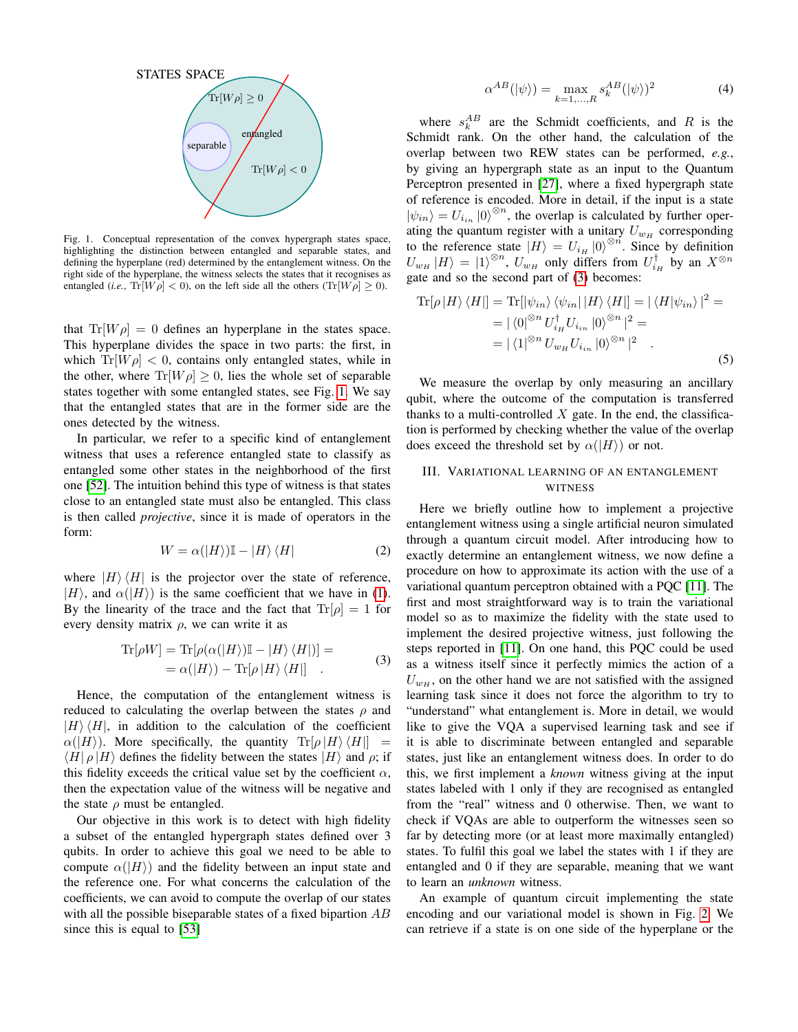

<span id="page-2-0"></span>Fig. 1. Conceptual representation of the convex hypergraph states space, highlighting the distinction between entangled and separable states, and defining the hyperplane (red) determined by the entanglement witness. On the right side of the hyperplane, the witness selects the states that it recognises as entangled (*i.e.*,  $Tr[W \rho] < 0$ ), on the left side all the others  $(Tr[W \rho] \ge 0)$ .

that  $Tr[W \rho] = 0$  defines an hyperplane in the states space. This hyperplane divides the space in two parts: the first, in which  $Tr[W \rho] < 0$ , contains only entangled states, while in the other, where  $\text{Tr}[W \rho] \geq 0$ , lies the whole set of separable states together with some entangled states, see Fig. [1.](#page-2-0) We say that the entangled states that are in the former side are the ones detected by the witness.

In particular, we refer to a specific kind of entanglement witness that uses a reference entangled state to classify as entangled some other states in the neighborhood of the first one [\[52\]](#page-7-14). The intuition behind this type of witness is that states close to an entangled state must also be entangled. This class is then called *projective*, since it is made of operators in the form:

$$
W = \alpha(|H\rangle)\mathbb{I} - |H\rangle\langle H| \tag{2}
$$

where  $|H\rangle\langle H|$  is the projector over the state of reference,  $|H\rangle$ , and  $\alpha(|H\rangle)$  is the same coefficient that we have in [\(1\)](#page-1-0). By the linearity of the trace and the fact that  $\text{Tr}[\rho] = 1$  for every density matrix  $\rho$ , we can write it as

$$
\operatorname{Tr}[\rho W] = \operatorname{Tr}[\rho(\alpha(|H\rangle)\mathbb{I} - |H\rangle\langle H|)] =
$$
  
= \alpha(|H\rangle) - \operatorname{Tr}[\rho|H\rangle\langle H|] . (3)

<span id="page-2-1"></span>Hence, the computation of the entanglement witness is reduced to calculating the overlap between the states  $\rho$  and  $|H\rangle\langle H|$ , in addition to the calculation of the coefficient  $\alpha(|H\rangle)$ . More specifically, the quantity  $\text{Tr}[\rho|H\rangle\langle H|] =$  $\langle H | \rho | H \rangle$  defines the fidelity between the states  $|H\rangle$  and  $\rho$ ; if this fidelity exceeds the critical value set by the coefficient  $\alpha$ , then the expectation value of the witness will be negative and the state  $\rho$  must be entangled.

Our objective in this work is to detect with high fidelity a subset of the entangled hypergraph states defined over 3 qubits. In order to achieve this goal we need to be able to compute  $\alpha(|H\rangle)$  and the fidelity between an input state and the reference one. For what concerns the calculation of the coefficients, we can avoid to compute the overlap of our states with all the possible biseparable states of a fixed bipartion AB since this is equal to [\[53\]](#page-7-13)

$$
\alpha^{AB}(|\psi\rangle) = \max_{k=1,\dots,R} s_k^{AB}(|\psi\rangle)^2 \tag{4}
$$

where  $s_k^{AB}$  are the Schmidt coefficients, and R is the Schmidt rank. On the other hand, the calculation of the overlap between two REW states can be performed, *e.g.*, by giving an hypergraph state as an input to the Quantum Perceptron presented in [\[27\]](#page-7-2), where a fixed hypergraph state of reference is encoded. More in detail, if the input is a state  $|\psi_{in}\rangle = U_{i_{in}} |0\rangle^{\otimes n}$ , the overlap is calculated by further operating the quantum register with a unitary  $U_{w_H}$  corresponding to the reference state  $|H\rangle = U_{iH} |0\rangle^{\otimes n}$ . Since by definition  $U_{w_H} |H\rangle = |1\rangle^{\otimes n}$ ,  $U_{w_H}$  only differs from  $U_{i_H}^{\dagger}$  by an  $X^{\otimes n}$ gate and so the second part of [\(3\)](#page-2-1) becomes:

$$
\text{Tr}[\rho |H\rangle \langle H|] = \text{Tr}[\ket{\psi_{in}} \langle \psi_{in} | |H\rangle \langle H|] = |\langle H | \psi_{in} \rangle|^2 =
$$
  
\n
$$
= |\langle 0 |^{\otimes n} U_{i_H}^{\dagger} U_{i_{in}} |0\rangle^{\otimes n}|^2 =
$$
  
\n
$$
= |\langle 1 |^{\otimes n} U_{w_H} U_{i_{in}} |0\rangle^{\otimes n}|^2.
$$
 (5)

We measure the overlap by only measuring an ancillary qubit, where the outcome of the computation is transferred thanks to a multi-controlled  $X$  gate. In the end, the classification is performed by checking whether the value of the overlap does exceed the threshold set by  $\alpha(|H\rangle)$  or not.

# <span id="page-2-2"></span>III. VARIATIONAL LEARNING OF AN ENTANGLEMENT **WITNESS**

Here we briefly outline how to implement a projective entanglement witness using a single artificial neuron simulated through a quantum circuit model. After introducing how to exactly determine an entanglement witness, we now define a procedure on how to approximate its action with the use of a variational quantum perceptron obtained with a PQC [\[11\]](#page-6-12). The first and most straightforward way is to train the variational model so as to maximize the fidelity with the state used to implement the desired projective witness, just following the steps reported in [\[11\]](#page-6-12). On one hand, this PQC could be used as a witness itself since it perfectly mimics the action of a  $U_{w_H}$ , on the other hand we are not satisfied with the assigned learning task since it does not force the algorithm to try to "understand" what entanglement is. More in detail, we would like to give the VQA a supervised learning task and see if it is able to discriminate between entangled and separable states, just like an entanglement witness does. In order to do this, we first implement a *known* witness giving at the input states labeled with 1 only if they are recognised as entangled from the "real" witness and 0 otherwise. Then, we want to check if VQAs are able to outperform the witnesses seen so far by detecting more (or at least more maximally entangled) states. To fulfil this goal we label the states with 1 if they are entangled and 0 if they are separable, meaning that we want to learn an *unknown* witness.

An example of quantum circuit implementing the state encoding and our variational model is shown in Fig. [2.](#page-3-0) We can retrieve if a state is on one side of the hyperplane or the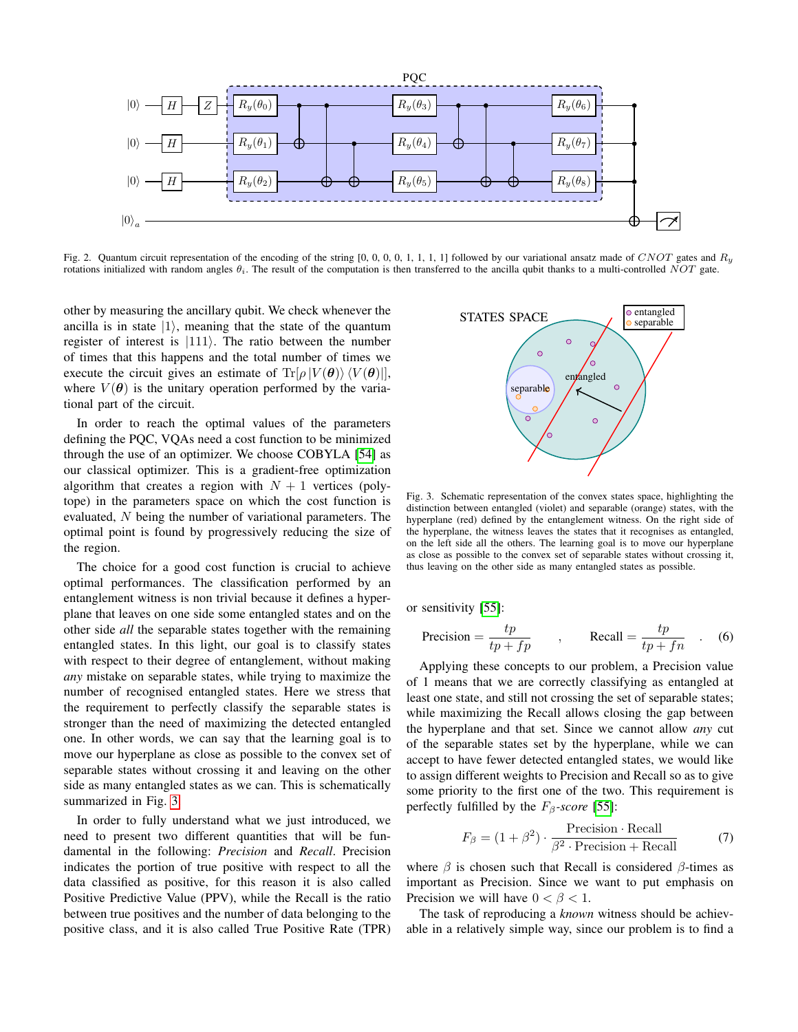

<span id="page-3-0"></span>Fig. 2. Quantum circuit representation of the encoding of the string [0, 0, 0, 0, 1, 1, 1, 1] followed by our variational ansatz made of CNOT gates and  $R_y$ rotations initialized with random angles  $\theta_i$ . The result of the computation is then transferred to the ancilla qubit thanks to a multi-controlled NOT gate.

other by measuring the ancillary qubit. We check whenever the ancilla is in state  $|1\rangle$ , meaning that the state of the quantum register of interest is  $|111\rangle$ . The ratio between the number of times that this happens and the total number of times we execute the circuit gives an estimate of  $\text{Tr}[\rho |V(\theta)\rangle \langle V(\theta)|]$ , where  $V(\theta)$  is the unitary operation performed by the variational part of the circuit.

In order to reach the optimal values of the parameters defining the PQC, VQAs need a cost function to be minimized through the use of an optimizer. We choose COBYLA [\[54\]](#page-7-15) as our classical optimizer. This is a gradient-free optimization algorithm that creates a region with  $N + 1$  vertices (polytope) in the parameters space on which the cost function is evaluated, N being the number of variational parameters. The optimal point is found by progressively reducing the size of the region.

The choice for a good cost function is crucial to achieve optimal performances. The classification performed by an entanglement witness is non trivial because it defines a hyperplane that leaves on one side some entangled states and on the other side *all* the separable states together with the remaining entangled states. In this light, our goal is to classify states with respect to their degree of entanglement, without making *any* mistake on separable states, while trying to maximize the number of recognised entangled states. Here we stress that the requirement to perfectly classify the separable states is stronger than the need of maximizing the detected entangled one. In other words, we can say that the learning goal is to move our hyperplane as close as possible to the convex set of separable states without crossing it and leaving on the other side as many entangled states as we can. This is schematically summarized in Fig. [3.](#page-3-1)

In order to fully understand what we just introduced, we need to present two different quantities that will be fundamental in the following: *Precision* and *Recall*. Precision indicates the portion of true positive with respect to all the data classified as positive, for this reason it is also called Positive Predictive Value (PPV), while the Recall is the ratio between true positives and the number of data belonging to the positive class, and it is also called True Positive Rate (TPR)



<span id="page-3-1"></span>Fig. 3. Schematic representation of the convex states space, highlighting the distinction between entangled (violet) and separable (orange) states, with the hyperplane (red) defined by the entanglement witness. On the right side of the hyperplane, the witness leaves the states that it recognises as entangled, on the left side all the others. The learning goal is to move our hyperplane as close as possible to the convex set of separable states without crossing it, thus leaving on the other side as many entangled states as possible.

or sensitivity [\[55\]](#page-7-16):

$$
Precision = \frac{tp}{tp + fp} \qquad , \qquad Recall = \frac{tp}{tp + fn} \qquad . \tag{6}
$$

Applying these concepts to our problem, a Precision value of 1 means that we are correctly classifying as entangled at least one state, and still not crossing the set of separable states; while maximizing the Recall allows closing the gap between the hyperplane and that set. Since we cannot allow *any* cut of the separable states set by the hyperplane, while we can accept to have fewer detected entangled states, we would like to assign different weights to Precision and Recall so as to give some priority to the first one of the two. This requirement is perfectly fulfilled by the  $F_\beta$ -score [\[55\]](#page-7-16):

$$
F_{\beta} = (1 + \beta^2) \cdot \frac{\text{Precision} \cdot \text{Recall}}{\beta^2 \cdot \text{Precision} + \text{Recall}} \tag{7}
$$

where  $\beta$  is chosen such that Recall is considered  $\beta$ -times as important as Precision. Since we want to put emphasis on Precision we will have  $0 < \beta < 1$ .

The task of reproducing a *known* witness should be achievable in a relatively simple way, since our problem is to find a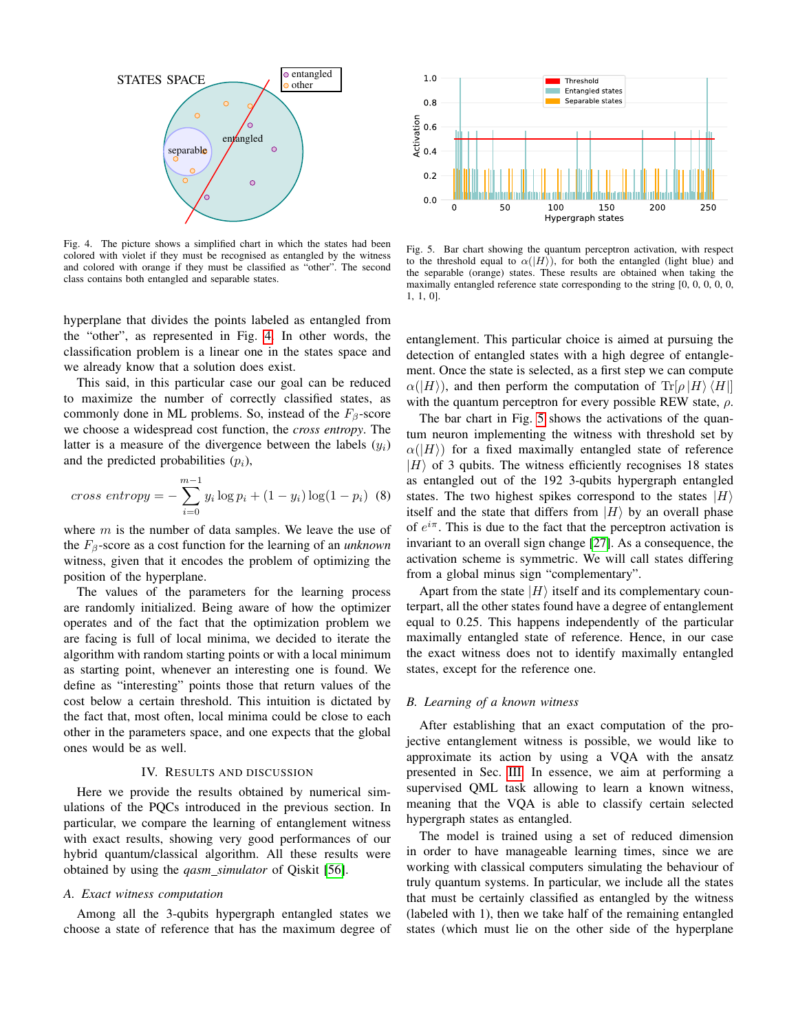

<span id="page-4-0"></span>Fig. 4. The picture shows a simplified chart in which the states had been colored with violet if they must be recognised as entangled by the witness and colored with orange if they must be classified as "other". The second class contains both entangled and separable states.

hyperplane that divides the points labeled as entangled from the "other", as represented in Fig. [4.](#page-4-0) In other words, the classification problem is a linear one in the states space and we already know that a solution does exist.

This said, in this particular case our goal can be reduced to maximize the number of correctly classified states, as commonly done in ML problems. So, instead of the  $F_\beta$ -score we choose a widespread cost function, the *cross entropy*. The latter is a measure of the divergence between the labels  $(y_i)$ and the predicted probabilities  $(p_i)$ ,

cross entropy = 
$$
-\sum_{i=0}^{m-1} y_i \log p_i + (1 - y_i) \log(1 - p_i)
$$
 (8)

where  $m$  is the number of data samples. We leave the use of the  $F_\beta$ -score as a cost function for the learning of an *unknown* witness, given that it encodes the problem of optimizing the position of the hyperplane.

The values of the parameters for the learning process are randomly initialized. Being aware of how the optimizer operates and of the fact that the optimization problem we are facing is full of local minima, we decided to iterate the algorithm with random starting points or with a local minimum as starting point, whenever an interesting one is found. We define as "interesting" points those that return values of the cost below a certain threshold. This intuition is dictated by the fact that, most often, local minima could be close to each other in the parameters space, and one expects that the global ones would be as well.

#### IV. RESULTS AND DISCUSSION

Here we provide the results obtained by numerical simulations of the PQCs introduced in the previous section. In particular, we compare the learning of entanglement witness with exact results, showing very good performances of our hybrid quantum/classical algorithm. All these results were obtained by using the *qasm simulator* of Qiskit [\[56\]](#page-7-17).

## *A. Exact witness computation*

Among all the 3-qubits hypergraph entangled states we choose a state of reference that has the maximum degree of



<span id="page-4-1"></span>Fig. 5. Bar chart showing the quantum perceptron activation, with respect to the threshold equal to  $\alpha(|H\rangle)$ , for both the entangled (light blue) and the separable (orange) states. These results are obtained when taking the maximally entangled reference state corresponding to the string [0, 0, 0, 0, 0, 1, 1, 0].

entanglement. This particular choice is aimed at pursuing the detection of entangled states with a high degree of entanglement. Once the state is selected, as a first step we can compute  $\alpha(|H\rangle)$ , and then perform the computation of  $\text{Tr}[\rho|H\rangle\langle H|]$ with the quantum perceptron for every possible REW state,  $\rho$ .

The bar chart in Fig. [5](#page-4-1) shows the activations of the quantum neuron implementing the witness with threshold set by  $\alpha(|H\rangle)$  for a fixed maximally entangled state of reference  $|H\rangle$  of 3 qubits. The witness efficiently recognises 18 states as entangled out of the 192 3-qubits hypergraph entangled states. The two highest spikes correspond to the states  $|H\rangle$ itself and the state that differs from  $|H\rangle$  by an overall phase of  $e^{i\pi}$ . This is due to the fact that the perceptron activation is invariant to an overall sign change [\[27\]](#page-7-2). As a consequence, the activation scheme is symmetric. We will call states differing from a global minus sign "complementary".

Apart from the state  $|H\rangle$  itself and its complementary counterpart, all the other states found have a degree of entanglement equal to 0.25. This happens independently of the particular maximally entangled state of reference. Hence, in our case the exact witness does not to identify maximally entangled states, except for the reference one.

#### *B. Learning of a known witness*

After establishing that an exact computation of the projective entanglement witness is possible, we would like to approximate its action by using a VQA with the ansatz presented in Sec. [III.](#page-2-2) In essence, we aim at performing a supervised QML task allowing to learn a known witness, meaning that the VQA is able to classify certain selected hypergraph states as entangled.

The model is trained using a set of reduced dimension in order to have manageable learning times, since we are working with classical computers simulating the behaviour of truly quantum systems. In particular, we include all the states that must be certainly classified as entangled by the witness (labeled with 1), then we take half of the remaining entangled states (which must lie on the other side of the hyperplane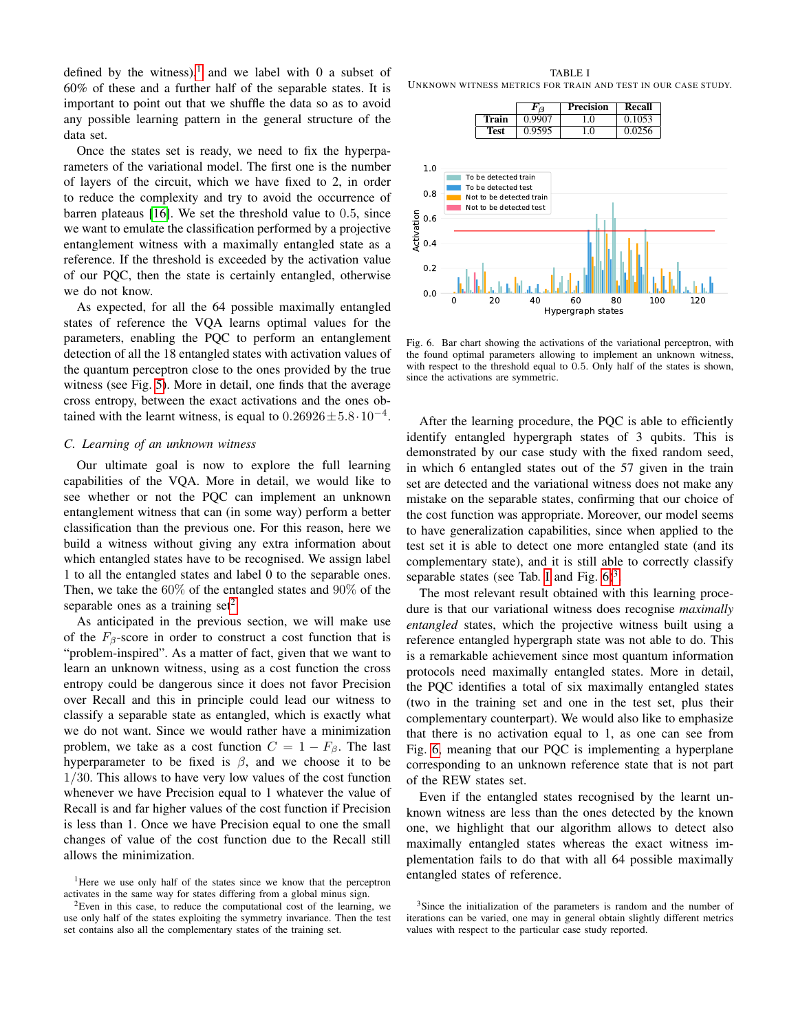defined by the witness),<sup>[1](#page-5-0)</sup> and we label with 0 a subset of 60% of these and a further half of the separable states. It is important to point out that we shuffle the data so as to avoid any possible learning pattern in the general structure of the data set.

Once the states set is ready, we need to fix the hyperparameters of the variational model. The first one is the number of layers of the circuit, which we have fixed to 2, in order to reduce the complexity and try to avoid the occurrence of barren plateaus [\[16\]](#page-6-9). We set the threshold value to 0.5, since we want to emulate the classification performed by a projective entanglement witness with a maximally entangled state as a reference. If the threshold is exceeded by the activation value of our PQC, then the state is certainly entangled, otherwise we do not know.

As expected, for all the 64 possible maximally entangled states of reference the VQA learns optimal values for the parameters, enabling the PQC to perform an entanglement detection of all the 18 entangled states with activation values of the quantum perceptron close to the ones provided by the true witness (see Fig. [5\)](#page-4-1). More in detail, one finds that the average cross entropy, between the exact activations and the ones obtained with the learnt witness, is equal to  $0.26926 \pm 5.8 \cdot 10^{-4}$ .

## *C. Learning of an unknown witness*

Our ultimate goal is now to explore the full learning capabilities of the VQA. More in detail, we would like to see whether or not the PQC can implement an unknown entanglement witness that can (in some way) perform a better classification than the previous one. For this reason, here we build a witness without giving any extra information about which entangled states have to be recognised. We assign label 1 to all the entangled states and label 0 to the separable ones. Then, we take the 60% of the entangled states and 90% of the separable ones as a training set<sup>[2](#page-5-1)</sup>.

As anticipated in the previous section, we will make use of the  $F_\beta$ -score in order to construct a cost function that is "problem-inspired". As a matter of fact, given that we want to learn an unknown witness, using as a cost function the cross entropy could be dangerous since it does not favor Precision over Recall and this in principle could lead our witness to classify a separable state as entangled, which is exactly what we do not want. Since we would rather have a minimization problem, we take as a cost function  $C = 1 - F_{\beta}$ . The last hyperparameter to be fixed is  $\beta$ , and we choose it to be 1/30. This allows to have very low values of the cost function whenever we have Precision equal to 1 whatever the value of Recall is and far higher values of the cost function if Precision is less than 1. Once we have Precision equal to one the small changes of value of the cost function due to the Recall still allows the minimization.

<span id="page-5-2"></span>TABLE I UNKNOWN WITNESS METRICS FOR TRAIN AND TEST IN OUR CASE STUDY.



<span id="page-5-3"></span>Fig. 6. Bar chart showing the activations of the variational perceptron, with the found optimal parameters allowing to implement an unknown witness, with respect to the threshold equal to 0.5. Only half of the states is shown, since the activations are symmetric.

After the learning procedure, the PQC is able to efficiently identify entangled hypergraph states of 3 qubits. This is demonstrated by our case study with the fixed random seed, in which 6 entangled states out of the 57 given in the train set are detected and the variational witness does not make any mistake on the separable states, confirming that our choice of the cost function was appropriate. Moreover, our model seems to have generalization capabilities, since when applied to the test set it is able to detect one more entangled state (and its complementary state), and it is still able to correctly classify separable states (see Tab. [I](#page-5-2) and Fig.  $6)^3$  $6)^3$ .

The most relevant result obtained with this learning procedure is that our variational witness does recognise *maximally entangled* states, which the projective witness built using a reference entangled hypergraph state was not able to do. This is a remarkable achievement since most quantum information protocols need maximally entangled states. More in detail, the PQC identifies a total of six maximally entangled states (two in the training set and one in the test set, plus their complementary counterpart). We would also like to emphasize that there is no activation equal to 1, as one can see from Fig. [6,](#page-5-3) meaning that our PQC is implementing a hyperplane corresponding to an unknown reference state that is not part of the REW states set.

Even if the entangled states recognised by the learnt unknown witness are less than the ones detected by the known one, we highlight that our algorithm allows to detect also maximally entangled states whereas the exact witness implementation fails to do that with all 64 possible maximally entangled states of reference.

<span id="page-5-0"></span><sup>&</sup>lt;sup>1</sup>Here we use only half of the states since we know that the perceptron activates in the same way for states differing from a global minus sign.

<span id="page-5-1"></span> $2$ Even in this case, to reduce the computational cost of the learning, we use only half of the states exploiting the symmetry invariance. Then the test set contains also all the complementary states of the training set.

<span id="page-5-4"></span><sup>&</sup>lt;sup>3</sup>Since the initialization of the parameters is random and the number of iterations can be varied, one may in general obtain slightly different metrics values with respect to the particular case study reported.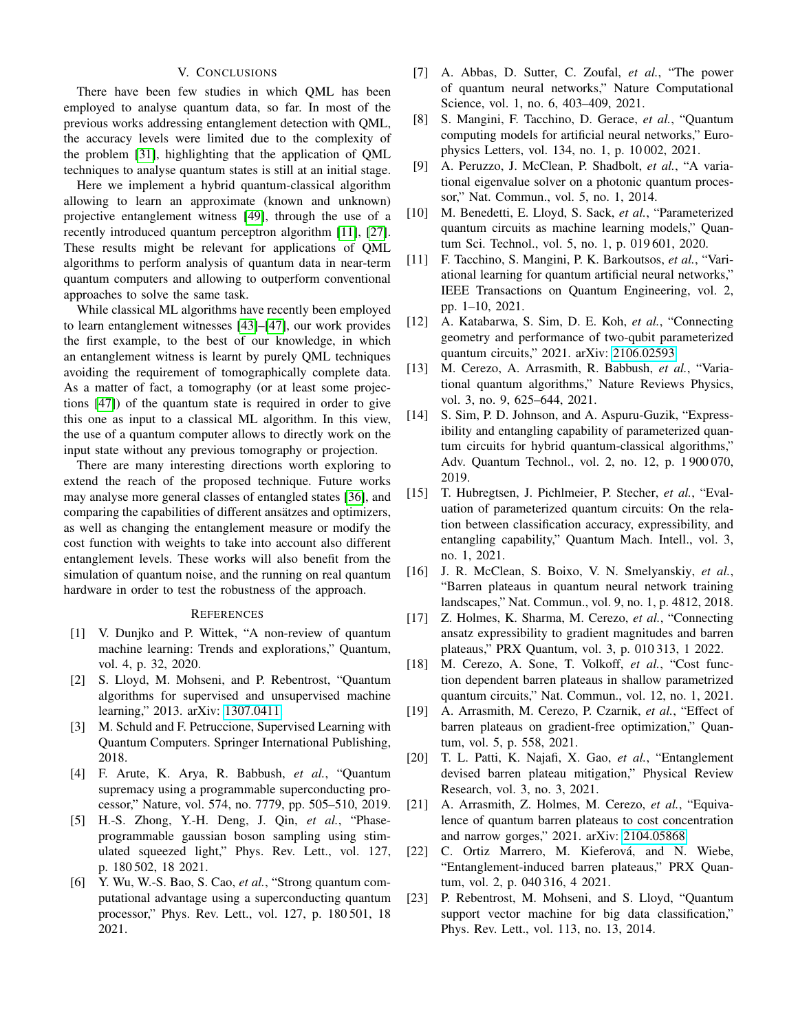# V. CONCLUSIONS

There have been few studies in which QML has been employed to analyse quantum data, so far. In most of the previous works addressing entanglement detection with QML, the accuracy levels were limited due to the complexity of the problem [\[31\]](#page-7-3), highlighting that the application of QML techniques to analyse quantum states is still at an initial stage.

Here we implement a hybrid quantum-classical algorithm allowing to learn an approximate (known and unknown) projective entanglement witness [\[49\]](#page-7-11), through the use of a recently introduced quantum perceptron algorithm [\[11\]](#page-6-12), [\[27\]](#page-7-2). These results might be relevant for applications of QML algorithms to perform analysis of quantum data in near-term quantum computers and allowing to outperform conventional approaches to solve the same task.

While classical ML algorithms have recently been employed to learn entanglement witnesses [\[43\]](#page-7-8)–[\[47\]](#page-7-9), our work provides the first example, to the best of our knowledge, in which an entanglement witness is learnt by purely QML techniques avoiding the requirement of tomographically complete data. As a matter of fact, a tomography (or at least some projections [\[47\]](#page-7-9)) of the quantum state is required in order to give this one as input to a classical ML algorithm. In this view, the use of a quantum computer allows to directly work on the input state without any previous tomography or projection.

There are many interesting directions worth exploring to extend the reach of the proposed technique. Future works may analyse more general classes of entangled states [\[36\]](#page-7-4), and comparing the capabilities of different ansätzes and optimizers, as well as changing the entanglement measure or modify the cost function with weights to take into account also different entanglement levels. These works will also benefit from the simulation of quantum noise, and the running on real quantum hardware in order to test the robustness of the approach.

#### **REFERENCES**

- <span id="page-6-0"></span>[1] V. Dunjko and P. Wittek, "A non-review of quantum machine learning: Trends and explorations," Quantum, vol. 4, p. 32, 2020.
- <span id="page-6-1"></span>[2] S. Lloyd, M. Mohseni, and P. Rebentrost, "Quantum algorithms for supervised and unsupervised machine learning," 2013. arXiv: [1307.0411.](https://arxiv.org/abs/1307.0411)
- <span id="page-6-2"></span>[3] M. Schuld and F. Petruccione, Supervised Learning with Quantum Computers. Springer International Publishing, 2018.
- <span id="page-6-3"></span>[4] F. Arute, K. Arya, R. Babbush, *et al.*, "Quantum supremacy using a programmable superconducting processor," Nature, vol. 574, no. 7779, pp. 505–510, 2019.
- [5] H.-S. Zhong, Y.-H. Deng, J. Qin, *et al.*, "Phaseprogrammable gaussian boson sampling using stimulated squeezed light," Phys. Rev. Lett., vol. 127, p. 180 502, 18 2021.
- <span id="page-6-4"></span>[6] Y. Wu, W.-S. Bao, S. Cao, *et al.*, "Strong quantum computational advantage using a superconducting quantum processor," Phys. Rev. Lett., vol. 127, p. 180 501, 18 2021.
- <span id="page-6-5"></span>[7] A. Abbas, D. Sutter, C. Zoufal, *et al.*, "The power of quantum neural networks," Nature Computational Science, vol. 1, no. 6, 403–409, 2021.
- <span id="page-6-6"></span>[8] S. Mangini, F. Tacchino, D. Gerace, *et al.*, "Quantum computing models for artificial neural networks," Europhysics Letters, vol. 134, no. 1, p. 10 002, 2021.
- <span id="page-6-7"></span>[9] A. Peruzzo, J. McClean, P. Shadbolt, *et al.*, "A variational eigenvalue solver on a photonic quantum processor," Nat. Commun., vol. 5, no. 1, 2014.
- [10] M. Benedetti, E. Lloyd, S. Sack, *et al.*, "Parameterized quantum circuits as machine learning models," Quantum Sci. Technol., vol. 5, no. 1, p. 019 601, 2020.
- <span id="page-6-12"></span>[11] F. Tacchino, S. Mangini, P. K. Barkoutsos, *et al.*, "Variational learning for quantum artificial neural networks," IEEE Transactions on Quantum Engineering, vol. 2, pp. 1–10, 2021.
- [12] A. Katabarwa, S. Sim, D. E. Koh, *et al.*, "Connecting geometry and performance of two-qubit parameterized quantum circuits," 2021. arXiv: [2106.02593.](https://arxiv.org/abs/2106.02593)
- [13] M. Cerezo, A. Arrasmith, R. Babbush, *et al.*, "Variational quantum algorithms," Nature Reviews Physics, vol. 3, no. 9, 625–644, 2021.
- [14] S. Sim, P. D. Johnson, and A. Aspuru-Guzik, "Expressibility and entangling capability of parameterized quantum circuits for hybrid quantum-classical algorithms," Adv. Quantum Technol., vol. 2, no. 12, p. 1 900 070, 2019.
- <span id="page-6-8"></span>[15] T. Hubregtsen, J. Pichlmeier, P. Stecher, *et al.*, "Evaluation of parameterized quantum circuits: On the relation between classification accuracy, expressibility, and entangling capability," Quantum Mach. Intell., vol. 3, no. 1, 2021.
- <span id="page-6-9"></span>[16] J. R. McClean, S. Boixo, V. N. Smelyanskiy, *et al.*, "Barren plateaus in quantum neural network training landscapes," Nat. Commun., vol. 9, no. 1, p. 4812, 2018.
- [17] Z. Holmes, K. Sharma, M. Cerezo, *et al.*, "Connecting ansatz expressibility to gradient magnitudes and barren plateaus," PRX Quantum, vol. 3, p. 010 313, 1 2022.
- [18] M. Cerezo, A. Sone, T. Volkoff, et al., "Cost function dependent barren plateaus in shallow parametrized quantum circuits," Nat. Commun., vol. 12, no. 1, 2021.
- [19] A. Arrasmith, M. Cerezo, P. Czarnik, *et al.*, "Effect of barren plateaus on gradient-free optimization," Quantum, vol. 5, p. 558, 2021.
- [20] T. L. Patti, K. Najafi, X. Gao, *et al.*, "Entanglement devised barren plateau mitigation," Physical Review Research, vol. 3, no. 3, 2021.
- [21] A. Arrasmith, Z. Holmes, M. Cerezo, *et al.*, "Equivalence of quantum barren plateaus to cost concentration and narrow gorges," 2021. arXiv: [2104.05868.](https://arxiv.org/abs/2104.05868)
- <span id="page-6-10"></span>[22] C. Ortiz Marrero, M. Kieferová, and N. Wiebe, "Entanglement-induced barren plateaus," PRX Quantum, vol. 2, p. 040 316, 4 2021.
- <span id="page-6-11"></span>[23] P. Rebentrost, M. Mohseni, and S. Lloyd, "Quantum" support vector machine for big data classification," Phys. Rev. Lett., vol. 113, no. 13, 2014.